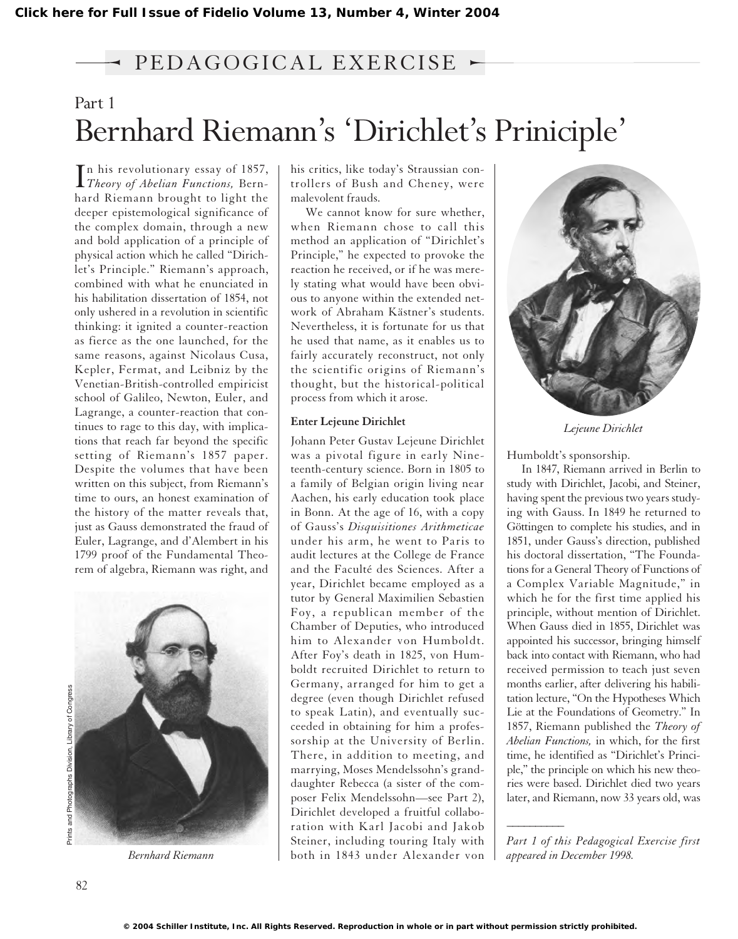### → PEDAGOGICAL EXERCISE ►

## Part 1 Bernhard Riemann's 'Dirichlet's Priniciple'

In his revolutionary essay of 1857,<br>Theory of Abelian Functions, Bern-*Theory of Abelian Functions,* Bernhard Riemann brought to light the deeper epistemological significance of the complex domain, through a new and bold application of a principle of physical action which he called "Dirichlet's Principle." Riemann's approach, combined with what he enunciated in his habilitation dissertation of 1854, not only ushered in a revolution in scientific thinking: it ignited a counter-reaction as fierce as the one launched, for the same reasons, against Nicolaus Cusa, Kepler, Fermat, and Leibniz by the Venetian-British-controlled empiricist school of Galileo, Newton, Euler, and Lagrange, a counter-reaction that continues to rage to this day, with implications that reach far beyond the specific setting of Riemann's 1857 paper. Despite the volumes that have been written on this subject, from Riemann's time to ours, an honest examination of the history of the matter reveals that, just as Gauss demonstrated the fraud of Euler, Lagrange, and d'Alembert in his 1799 proof of the Fundamental Theorem of algebra, Riemann was right, and



*Bernhard Riemann*

his critics, like today's Straussian controllers of Bush and Cheney, were malevolent frauds.

We cannot know for sure whether, when Riemann chose to call this method an application of "Dirichlet's Principle," he expected to provoke the reaction he received, or if he was merely stating what would have been obvious to anyone within the extended network of Abraham Kästner's students. Nevertheless, it is fortunate for us that he used that name, as it enables us to fairly accurately reconstruct, not only the scientific origins of Riemann's thought, but the historical-political process from which it arose.

#### **Enter Lejeune Dirichlet**

Johann Peter Gustav Lejeune Dirichlet was a pivotal figure in early Nineteenth-century science. Born in 1805 to a family of Belgian origin living near Aachen, his early education took place in Bonn. At the age of 16, with a copy of Gauss's *Disquisitiones Arithmeticae* under his arm, he went to Paris to audit lectures at the College de France and the Faculté des Sciences. After a year, Dirichlet became employed as a tutor by General Maximilien Sebastien Foy, a republican member of the Chamber of Deputies, who introduced him to Alexander von Humboldt. After Foy's death in 1825, von Humboldt recruited Dirichlet to return to Germany, arranged for him to get a degree (even though Dirichlet refused to speak Latin), and eventually succeeded in obtaining for him a professorship at the University of Berlin. There, in addition to meeting, and marrying, Moses Mendelssohn's granddaughter Rebecca (a sister of the composer Felix Mendelssohn—see Part 2), Dirichlet developed a fruitful collaboration with Karl Jacobi and Jakob Steiner, including touring Italy with both in 1843 under Alexander von



*Lejeune Dirichlet*

Humboldt's sponsorship.

In 1847, Riemann arrived in Berlin to study with Dirichlet, Jacobi, and Steiner, having spent the previous two years studying with Gauss. In 1849 he returned to Göttingen to complete his studies, and in 1851, under Gauss's direction, published his doctoral dissertation, "The Foundations for a General Theory of Functions of a Complex Variable Magnitude," in which he for the first time applied his principle, without mention of Dirichlet. When Gauss died in 1855, Dirichlet was appointed his successor, bringing himself back into contact with Riemann, who had received permission to teach just seven months earlier, after delivering his habilitation lecture, "On the Hypotheses Which Lie at the Foundations of Geometry." In 1857, Riemann published the *Theory of Abelian Functions,* in which, for the first time, he identified as "Dirichlet's Principle," the principle on which his new theories were based. Dirichlet died two years later, and Riemann, now 33 years old, was

*Part 1 of this Pedagogical Exercise first appeared in December 1998.*

*\_\_\_\_\_\_\_\_\_\_*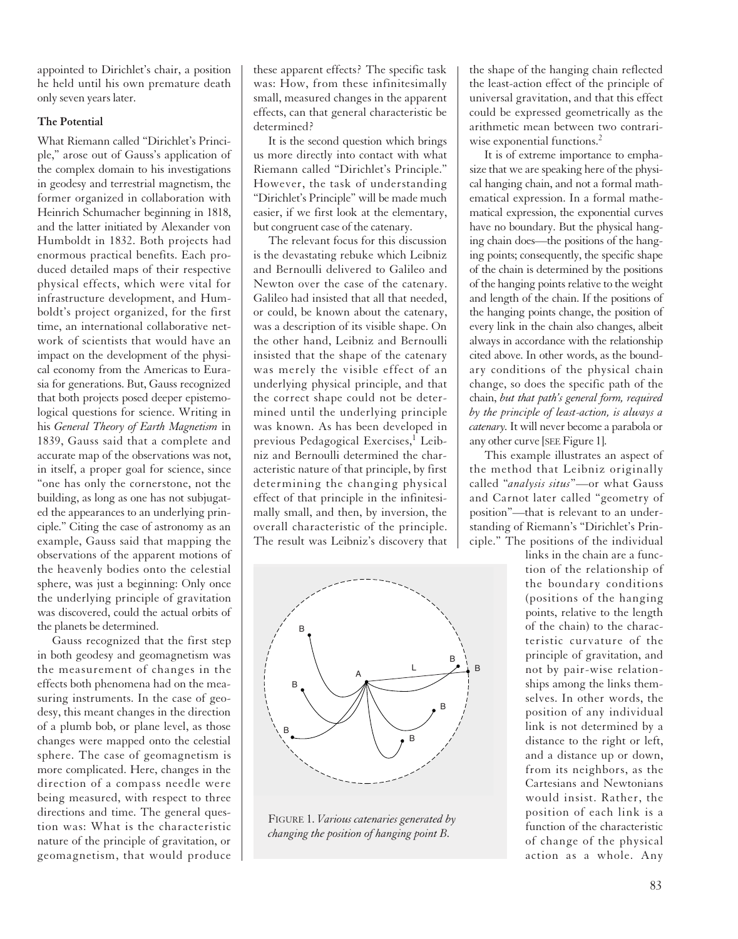appointed to Dirichlet's chair, a position he held until his own premature death only seven years later.

#### **The Potential**

What Riemann called "Dirichlet's Principle," arose out of Gauss's application of the complex domain to his investigations in geodesy and terrestrial magnetism, the former organized in collaboration with Heinrich Schumacher beginning in 1818, and the latter initiated by Alexander von Humboldt in 1832. Both projects had enormous practical benefits. Each produced detailed maps of their respective physical effects, which were vital for infrastructure development, and Humboldt's project organized, for the first time, an international collaborative network of scientists that would have an impact on the development of the physical economy from the Americas to Eurasia for generations. But, Gauss recognized that both projects posed deeper epistemological questions for science. Writing in his *General Theory of Earth Magnetism* in 1839, Gauss said that a complete and accurate map of the observations was not, in itself, a proper goal for science, since "one has only the cornerstone, not the building, as long as one has not subjugated the appearances to an underlying principle." Citing the case of astronomy as an example, Gauss said that mapping the observations of the apparent motions of the heavenly bodies onto the celestial sphere, was just a beginning: Only once the underlying principle of gravitation was discovered, could the actual orbits of the planets be determined.

Gauss recognized that the first step in both geodesy and geomagnetism was the measurement of changes in the effects both phenomena had on the measuring instruments. In the case of geodesy, this meant changes in the direction of a plumb bob, or plane level, as those changes were mapped onto the celestial sphere. The case of geomagnetism is more complicated. Here, changes in the direction of a compass needle were being measured, with respect to three directions and time. The general question was: What is the characteristic nature of the principle of gravitation, or geomagnetism, that would produce

these apparent effects? The specific task was: How, from these infinitesimally small, measured changes in the apparent effects, can that general characteristic be determined?

It is the second question which brings us more directly into contact with what Riemann called "Dirichlet's Principle." However, the task of understanding "Dirichlet's Principle" will be made much easier, if we first look at the elementary, but congruent case of the catenary.

The relevant focus for this discussion is the devastating rebuke which Leibniz and Bernoulli delivered to Galileo and Newton over the case of the catenary. Galileo had insisted that all that needed, or could, be known about the catenary, was a description of its visible shape. On the other hand, Leibniz and Bernoulli insisted that the shape of the catenary was merely the visible effect of an underlying physical principle, and that the correct shape could not be determined until the underlying principle was known. As has been developed in previous Pedagogical Exercises,<sup>1</sup> Leibniz and Bernoulli determined the characteristic nature of that principle, by first determining the changing physical effect of that principle in the infinitesimally small, and then, by inversion, the overall characteristic of the principle. The result was Leibniz's discovery that



**The FIGURE 1.** *Various catenaries generated by point changing the position of hanging point B.*  $\int$ <sup>*family of catenary of catenary of catenary of catenary of catenary of catenary of catenary of catenary of catenary of catenary of catenary of catenary of catenary of catenary of catenary of catenary of catenary of c</sup>* 

the shape of the hanging chain reflected the least-action effect of the principle of universal gravitation, and that this effect could be expressed geometrically as the arithmetic mean between two contrariwise exponential functions.<sup>2</sup>

It is of extreme importance to emphasize that we are speaking here of the physical hanging chain, and not a formal mathematical expression. In a formal mathematical expression, the exponential curves have no boundary. But the physical hanging chain does—the positions of the hanging points; consequently, the specific shape of the chain is determined by the positions of the hanging points relative to the weight and length of the chain. If the positions of the hanging points change, the position of every link in the chain also changes, albeit always in accordance with the relationship cited above. In other words, as the boundary conditions of the physical chain change, so does the specific path of the chain, *but that path's general form, required by the principle of least-action, is always a catenary.*It will never become a parabola or any other curve [SEE Figure 1].

This example illustrates an aspect of the method that Leibniz originally called "*analysis situs*"—or what Gauss and Carnot later called "geometry of position"—that is relevant to an understanding of Riemann's "Dirichlet's Principle." The positions of the individual

links in the chain are a function of the relationship of the boundary conditions (positions of the hanging points, relative to the length of the chain) to the characteristic curvature of the principle of gravitation, and not by pair-wise relationships among the links themselves. In other words, the position of any individual link is not determined by a distance to the right or left, and a distance up or down, from its neighbors, as the Cartesians and Newtonians would insist. Rather, the position of each link is a function of the characteristic of change of the physical action as a whole. Any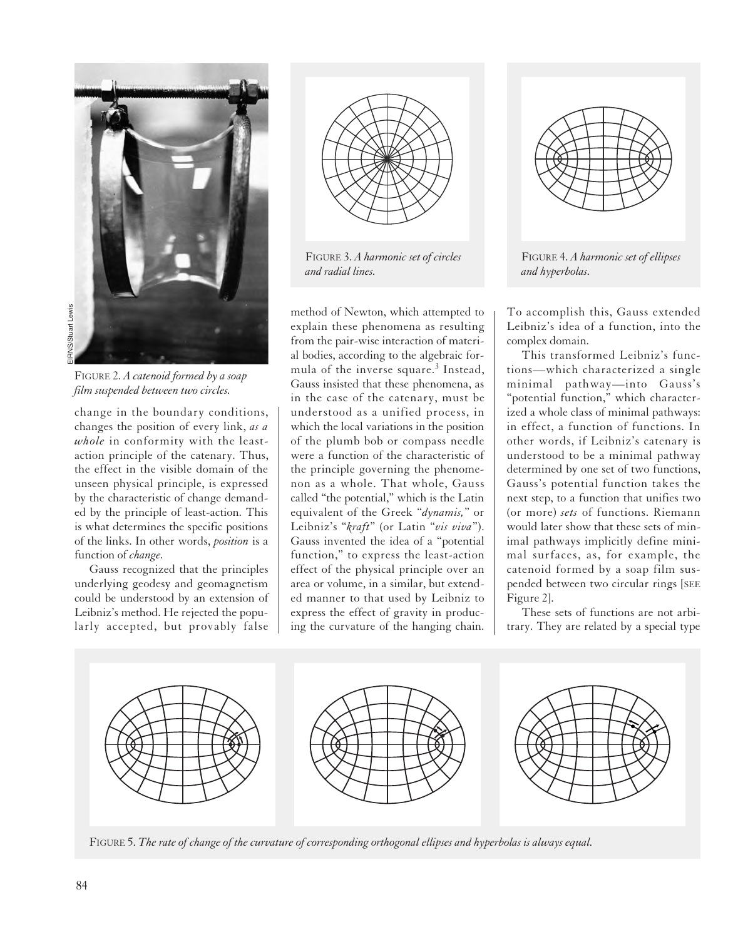

FIGURE 2. *A catenoid formed by a soap*

change in the boundary conditions, changes the position of every link, *as a whole* in conformity with the leastaction principle of the catenary. Thus, the effect in the visible domain of the unseen physical principle, is expressed by the characteristic of change demanded by the principle of least-action. This is what determines the specific positions of the links. In other words, *position* is a function of *change.*

Gauss recognized that the principles underlying geodesy and geomagnetism could be understood by an extension of Leibniz's method. He rejected the popularly accepted, but provably false



FIGURE 3. *A harmonic set of circles and radial lines.*

method of Newton, which attempted to explain these phenomena as resulting from the pair-wise interaction of material bodies, according to the algebraic formula of the inverse square.<sup>3</sup> Instead, Gauss insisted that these phenomena, as in the case of the catenary, must be understood as a unified process, in which the local variations in the position of the plumb bob or compass needle were a function of the characteristic of the principle governing the phenomenon as a whole. That whole, Gauss called "the potential," which is the Latin equivalent of the Greek "*dynamis,*" or Leibniz's "*kraft*" (or Latin "*vis viva*"). Gauss invented the idea of a "potential function," to express the least-action effect of the physical principle over an area or volume, in a similar, but extended manner to that used by Leibniz to express the effect of gravity in producing the curvature of the hanging chain.



*and hyperbolas.*

To accomplish this, Gauss extended Leibniz's idea of a function, into the complex domain.

This transformed Leibniz's functions—which characterized a single minimal pathway—into Gauss's "potential function," which characterized a whole class of minimal pathways: in effect, a function of functions. In other words, if Leibniz's catenary is understood to be a minimal pathway determined by one set of two functions, Gauss's potential function takes the next step, to a function that unifies two (or more) *sets* of functions. Riemann would later show that these sets of minimal pathways implicitly define minimal surfaces, as, for example, the catenoid formed by a soap film suspended between two circular rings [SEE Figure 2].

These sets of functions are not arbitrary. They are related by a special type



FIGURE 5. *The rate of change of the curvature of corresponding orthogonal ellipses and hyperbolas is always equal.*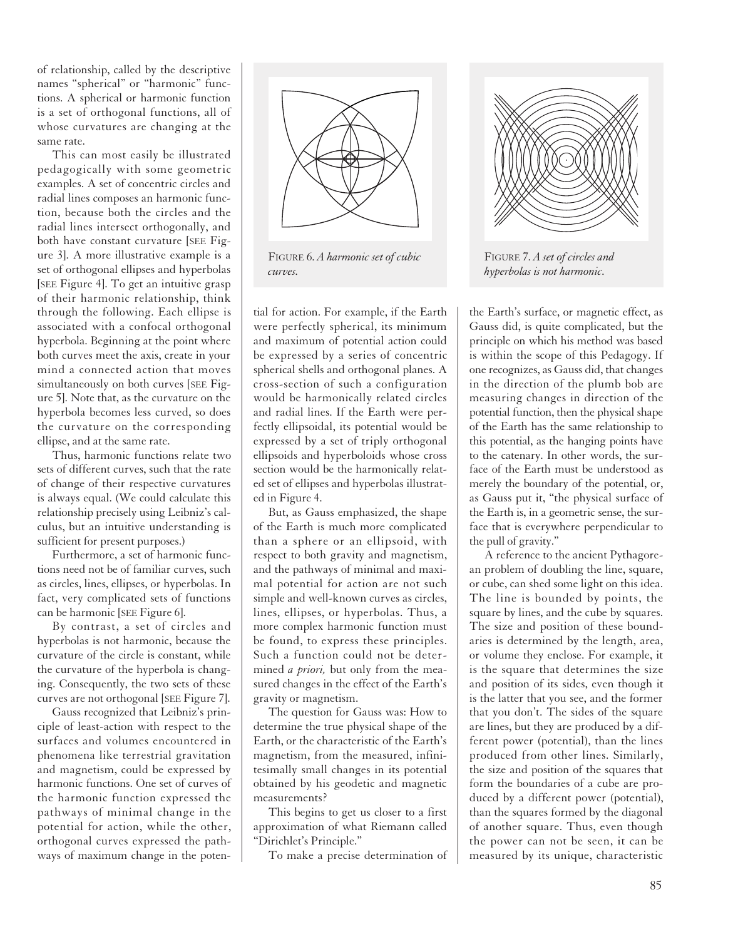of relationship, called by the descriptive names "spherical" or "harmonic" functions. A spherical or harmonic function is a set of orthogonal functions, all of whose curvatures are changing at the same rate.

This can most easily be illustrated pedagogically with some geometric examples. A set of concentric circles and radial lines composes an harmonic function, because both the circles and the radial lines intersect orthogonally, and both have constant curvature [SEE Figure 3]. A more illustrative example is a set of orthogonal ellipses and hyperbolas [SEE Figure 4]. To get an intuitive grasp of their harmonic relationship, think through the following. Each ellipse is associated with a confocal orthogonal hyperbola. Beginning at the point where both curves meet the axis, create in your mind a connected action that moves simultaneously on both curves [SEE Figure 5]. Note that, as the curvature on the hyperbola becomes less curved, so does the curvature on the corresponding ellipse, and at the same rate.

Thus, harmonic functions relate two sets of different curves, such that the rate of change of their respective curvatures is always equal. (We could calculate this relationship precisely using Leibniz's calculus, but an intuitive understanding is sufficient for present purposes.)

Furthermore, a set of harmonic functions need not be of familiar curves, such as circles, lines, ellipses, or hyperbolas. In fact, very complicated sets of functions can be harmonic [SEE Figure 6].

By contrast, a set of circles and hyperbolas is not harmonic, because the curvature of the circle is constant, while the curvature of the hyperbola is changing. Consequently, the two sets of these curves are not orthogonal [SEE Figure 7].

Gauss recognized that Leibniz's principle of least-action with respect to the surfaces and volumes encountered in phenomena like terrestrial gravitation and magnetism, could be expressed by harmonic functions. One set of curves of the harmonic function expressed the pathways of minimal change in the potential for action, while the other, orthogonal curves expressed the pathways of maximum change in the poten-



FIGURE 6. *A harmonic set of cubic curves.*

tial for action. For example, if the Earth were perfectly spherical, its minimum and maximum of potential action could be expressed by a series of concentric spherical shells and orthogonal planes. A cross-section of such a configuration would be harmonically related circles and radial lines. If the Earth were perfectly ellipsoidal, its potential would be expressed by a set of triply orthogonal ellipsoids and hyperboloids whose cross section would be the harmonically related set of ellipses and hyperbolas illustrated in Figure 4.

But, as Gauss emphasized, the shape of the Earth is much more complicated than a sphere or an ellipsoid, with respect to both gravity and magnetism, and the pathways of minimal and maximal potential for action are not such simple and well-known curves as circles, lines, ellipses, or hyperbolas. Thus, a more complex harmonic function must be found, to express these principles. Such a function could not be determined *a priori,* but only from the measured changes in the effect of the Earth's gravity or magnetism.

The question for Gauss was: How to determine the true physical shape of the Earth, or the characteristic of the Earth's magnetism, from the measured, infinitesimally small changes in its potential obtained by his geodetic and magnetic measurements?

This begins to get us closer to a first approximation of what Riemann called "Dirichlet's Principle."

To make a precise determination of



FIGURE 7. *A set of circles and hyperbolas is not harmonic.*

the Earth's surface, or magnetic effect, as Gauss did, is quite complicated, but the principle on which his method was based is within the scope of this Pedagogy. If one recognizes, as Gauss did, that changes in the direction of the plumb bob are measuring changes in direction of the potential function, then the physical shape of the Earth has the same relationship to this potential, as the hanging points have to the catenary. In other words, the surface of the Earth must be understood as merely the boundary of the potential, or, as Gauss put it, "the physical surface of the Earth is, in a geometric sense, the surface that is everywhere perpendicular to the pull of gravity."

A reference to the ancient Pythagorean problem of doubling the line, square, or cube, can shed some light on this idea. The line is bounded by points, the square by lines, and the cube by squares. The size and position of these boundaries is determined by the length, area, or volume they enclose. For example, it is the square that determines the size and position of its sides, even though it is the latter that you see, and the former that you don't. The sides of the square are lines, but they are produced by a different power (potential), than the lines produced from other lines. Similarly, the size and position of the squares that form the boundaries of a cube are produced by a different power (potential), than the squares formed by the diagonal of another square. Thus, even though the power can not be seen, it can be measured by its unique, characteristic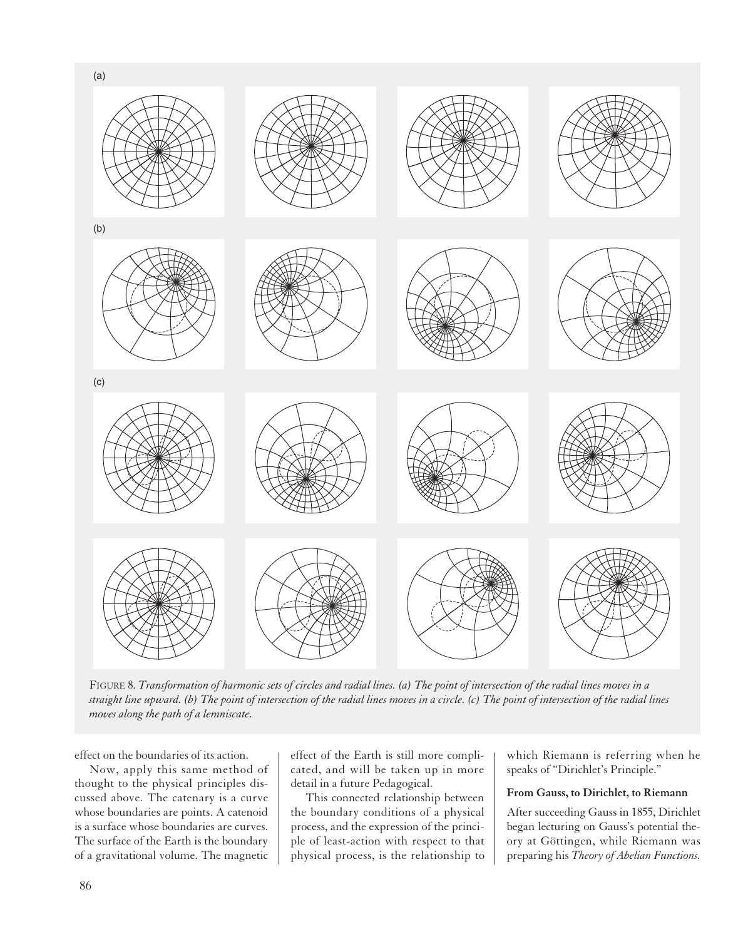

FIGURE 8. *Transformation of harmonic sets of circles and radial lines. (a) The point of intersection of the radial lines moves in a straight line upward. (b) The point of intersection of the radial lines moves in a circle. (c) The point of intersection of the radial lines moves along the path of a lemniscate.*

effect on the boundaries of its action.

Now, apply this same method of thought to the physical principles discussed above. The catenary is a curve whose boundaries are points. A catenoid is a surface whose boundaries are curves. The surface of the Earth is the boundary of a gravitational volume. The magnetic

effect of the Earth is still more complicated, and will be taken up in more detail in a future Pedagogical.

This connected relationship between the boundary conditions of a physical process, and the expression of the principle of least-action with respect to that physical process, is the relationship to which Riemann is referring when he speaks of "Dirichlet's Principle."

#### **From Gauss, to Dirichlet, to Riemann**

After succeeding Gauss in 1855, Dirichlet began lecturing on Gauss's potential theory at Göttingen, while Riemann was preparing his *Theory of Abelian Functions.*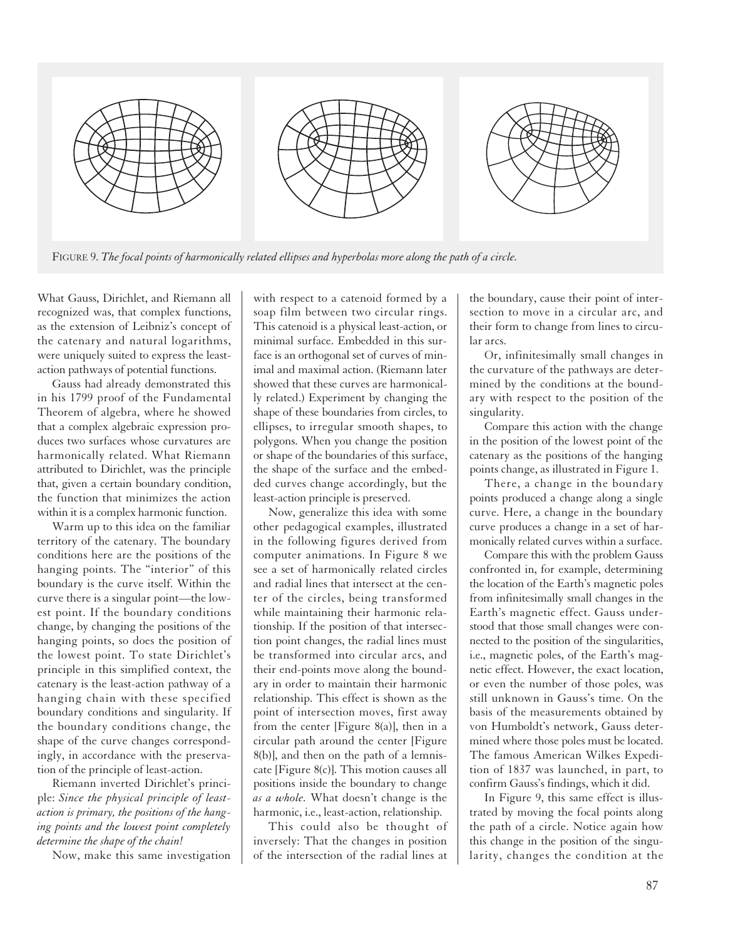

What Gauss, Dirichlet, and Riemann all recognized was, that complex functions, as the extension of Leibniz's concept of the catenary and natural logarithms, were uniquely suited to express the leastaction pathways of potential functions.

Gauss had already demonstrated this in his 1799 proof of the Fundamental Theorem of algebra, where he showed that a complex algebraic expression produces two surfaces whose curvatures are harmonically related. What Riemann attributed to Dirichlet, was the principle that, given a certain boundary condition, the function that minimizes the action within it is a complex harmonic function.

Warm up to this idea on the familiar territory of the catenary. The boundary conditions here are the positions of the hanging points. The "interior" of this boundary is the curve itself. Within the curve there is a singular point—the lowest point. If the boundary conditions change, by changing the positions of the hanging points, so does the position of the lowest point. To state Dirichlet's principle in this simplified context, the catenary is the least-action pathway of a hanging chain with these specified boundary conditions and singularity. If the boundary conditions change, the shape of the curve changes correspondingly, in accordance with the preservation of the principle of least-action.

Riemann inverted Dirichlet's principle: *Since the physical principle of leastaction is primary, the positions of the hanging points and the lowest point completely determine the shape of the chain!*

Now, make this same investigation

with respect to a catenoid formed by a soap film between two circular rings. This catenoid is a physical least-action, or minimal surface. Embedded in this surface is an orthogonal set of curves of minimal and maximal action. (Riemann later showed that these curves are harmonically related.) Experiment by changing the shape of these boundaries from circles, to ellipses, to irregular smooth shapes, to polygons. When you change the position or shape of the boundaries of this surface, the shape of the surface and the embedded curves change accordingly, but the least-action principle is preserved.

Now, generalize this idea with some other pedagogical examples, illustrated in the following figures derived from computer animations. In Figure 8 we see a set of harmonically related circles and radial lines that intersect at the center of the circles, being transformed while maintaining their harmonic relationship. If the position of that intersection point changes, the radial lines must be transformed into circular arcs, and their end-points move along the boundary in order to maintain their harmonic relationship. This effect is shown as the point of intersection moves, first away from the center [Figure 8(a)], then in a circular path around the center [Figure 8(b)], and then on the path of a lemniscate [Figure 8(c)]. This motion causes all positions inside the boundary to change *as a whole.* What doesn't change is the harmonic, i.e., least-action, relationship.

This could also be thought of inversely: That the changes in position of the intersection of the radial lines at the boundary, cause their point of intersection to move in a circular arc, and their form to change from lines to circular arcs.

Or, infinitesimally small changes in the curvature of the pathways are determined by the conditions at the boundary with respect to the position of the singularity.

Compare this action with the change in the position of the lowest point of the catenary as the positions of the hanging points change, as illustrated in Figure 1.

There, a change in the boundary points produced a change along a single curve. Here, a change in the boundary curve produces a change in a set of harmonically related curves within a surface.

Compare this with the problem Gauss confronted in, for example, determining the location of the Earth's magnetic poles from infinitesimally small changes in the Earth's magnetic effect. Gauss understood that those small changes were connected to the position of the singularities, i.e., magnetic poles, of the Earth's magnetic effect. However, the exact location, or even the number of those poles, was still unknown in Gauss's time. On the basis of the measurements obtained by von Humboldt's network, Gauss determined where those poles must be located. The famous American Wilkes Expedition of 1837 was launched, in part, to confirm Gauss's findings, which it did.

In Figure 9, this same effect is illustrated by moving the focal points along the path of a circle. Notice again how this change in the position of the singularity, changes the condition at the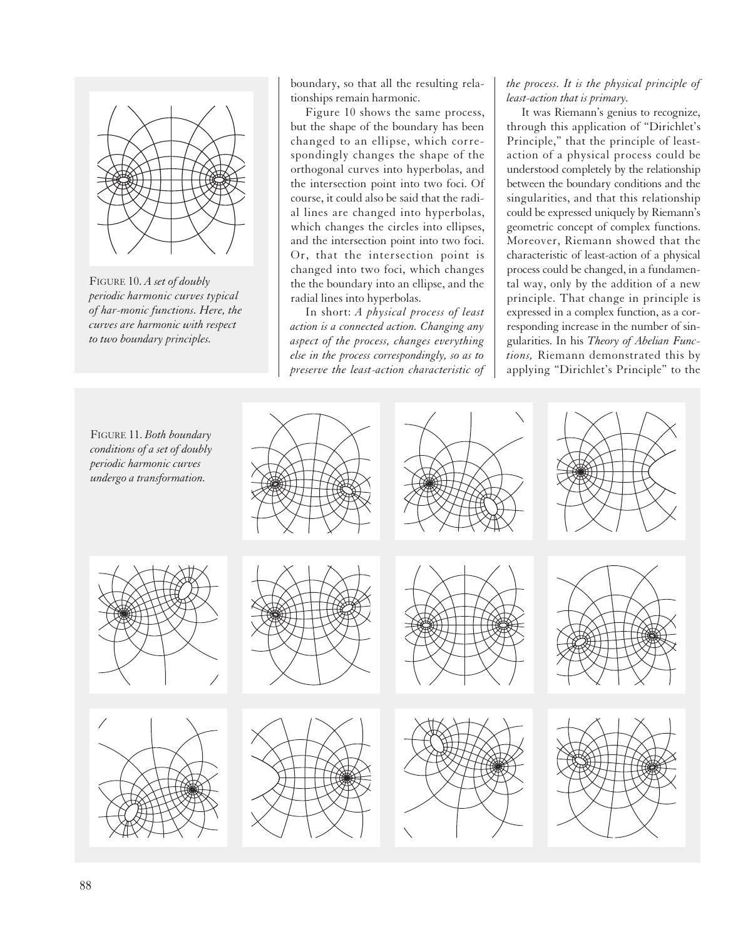

FIGURE 10. *A set of doubly periodic harmonic curves typical of har-monic functions. Here, the curves are harmonic with respect to two boundary principles.*

boundary, so that all the resulting relationships remain harmonic.

Figure 10 shows the same process, but the shape of the boundary has been changed to an ellipse, which correspondingly changes the shape of the orthogonal curves into hyperbolas, and the intersection point into two foci. Of course, it could also be said that the radial lines are changed into hyperbolas, which changes the circles into ellipses, and the intersection point into two foci. Or, that the intersection point is changed into two foci, which changes the the boundary into an ellipse, and the radial lines into hyperbolas.

In short: *A physical process of least action is a connected action. Changing any aspect of the process, changes everything else in the process correspondingly, so as to preserve the least-action characteristic of*

*the process. It is the physical principle of least-action that is primary.*

It was Riemann's genius to recognize, through this application of "Dirichlet's Principle," that the principle of leastaction of a physical process could be understood completely by the relationship between the boundary conditions and the singularities, and that this relationship could be expressed uniquely by Riemann's geometric concept of complex functions. Moreover, Riemann showed that the characteristic of least-action of a physical process could be changed, in a fundamental way, only by the addition of a new principle. That change in principle is expressed in a complex function, as a corresponding increase in the number of singularities. In his *Theory of Abelian Functions,* Riemann demonstrated this by applying "Dirichlet's Principle" to the